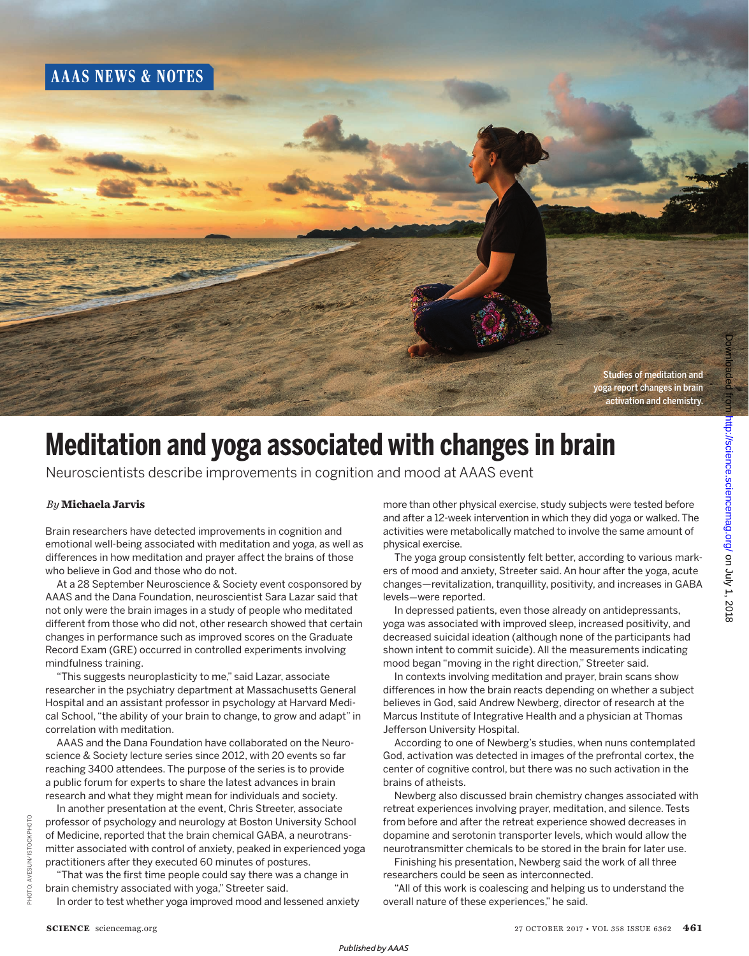

## **Meditation and yoga associated with changes in brain**

Neuroscientists describe improvements in cognition and mood at AAAS event

## *By* **Michaela Jarvis**

Brain researchers have detected improvements in cognition and emotional well-being associated with meditation and yoga, as well as differences in how meditation and prayer affect the brains of those who believe in God and those who do not.

At a 28 September Neuroscience & Society event cosponsored by AAAS and the Dana Foundation, neuroscientist Sara Lazar said that not only were the brain images in a study of people who meditated different from those who did not, other research showed that certain changes in performance such as improved scores on the Graduate Record Exam (GRE) occurred in controlled experiments involving mindfulness training.

"This suggests neuroplasticity to me," said Lazar, associate researcher in the psychiatry department at Massachusetts General Hospital and an assistant professor in psychology at Harvard Medical School, "the ability of your brain to change, to grow and adapt" in correlation with meditation.

AAAS and the Dana Foundation have collaborated on the Neuroscience & Society lecture series since 2012, with 20 events so far reaching 3400 attendees. The purpose of the series is to provide a public forum for experts to share the latest advances in brain research and what they might mean for individuals and society.

In another presentation at the event, Chris Streeter, associate professor of psychology and neurology at Boston University School of Medicine, reported that the brain chemical GABA, a neurotransmitter associated with control of anxiety, peaked in experienced yoga practitioners after they executed 60 minutes of postures.

"That was the first time people could say there was a change in brain chemistry associated with yoga," Streeter said.

In order to test whether yoga improved mood and lessened anxiety

more than other physical exercise, study subjects were tested before and after a 12-week intervention in which they did yoga or walked. The activities were metabolically matched to involve the same amount of physical exercise.

The yoga group consistently felt better, according to various markers of mood and anxiety, Streeter said. An hour after the yoga, acute changes—revitalization, tranquillity, positivity, and increases in GABA levels—were reported.

In depressed patients, even those already on antidepressants, yoga was associated with improved sleep, increased positivity, and decreased suicidal ideation (although none of the participants had shown intent to commit suicide). All the measurements indicating mood began "moving in the right direction," Streeter said.

In contexts involving meditation and prayer, brain scans show differences in how the brain reacts depending on whether a subject believes in God, said Andrew Newberg, director of research at the Marcus Institute of Integrative Health and a physician at Thomas Jefferson University Hospital.

According to one of Newberg's studies, when nuns contemplated God, activation was detected in images of the prefrontal cortex, the center of cognitive control, but there was no such activation in the brains of atheists.

Newberg also discussed brain chemistry changes associated with retreat experiences involving prayer, meditation, and silence. Tests from before and after the retreat experience showed decreases in dopamine and serotonin transporter levels, which would allow the neurotransmitter chemicals to be stored in the brain for later use.

Finishing his presentation, Newberg said the work of all three researchers could be seen as interconnected.

"All of this work is coalescing and helping us to understand the overall nature of these experiences," he said.

PHOTO: AVESUN/ISTOCKPHOTO

PHOTO: AVESUN/ISTO CKPHOTO